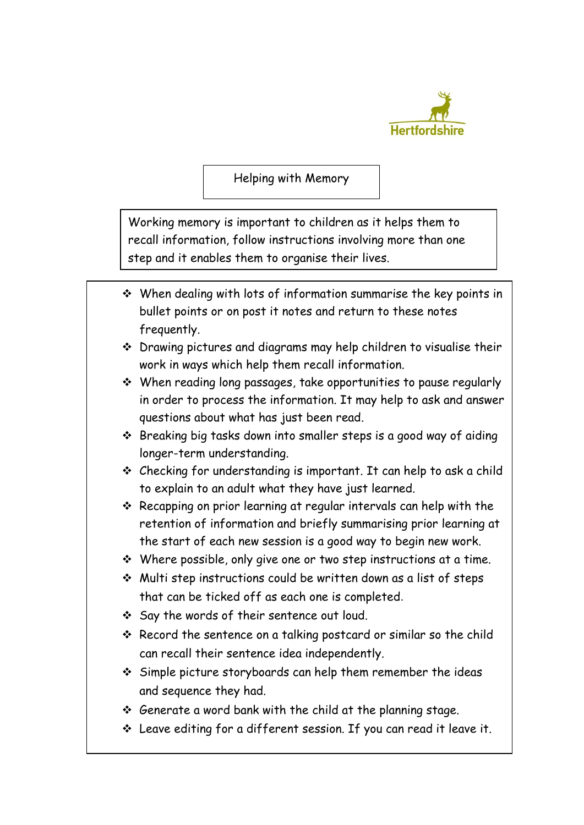

Helping with Memory

Working memory is important to children as it helps them to recall information, follow instructions involving more than one step and it enables them to organise their lives.

- $\cdot$  When dealing with lots of information summarise the key points in bullet points or on post it notes and return to these notes frequently.
- Drawing pictures and diagrams may help children to visualise their work in ways which help them recall information.
- When reading long passages, take opportunities to pause regularly in order to process the information. It may help to ask and answer questions about what has just been read.
- Breaking big tasks down into smaller steps is a good way of aiding longer-term understanding.
- Checking for understanding is important. It can help to ask a child to explain to an adult what they have just learned.
- Recapping on prior learning at regular intervals can help with the retention of information and briefly summarising prior learning at the start of each new session is a good way to begin new work.
- $\cdot$  Where possible, only give one or two step instructions at a time.
- Multi step instructions could be written down as a list of steps that can be ticked off as each one is completed.
- Say the words of their sentence out loud.
- \* Record the sentence on a talking postcard or similar so the child can recall their sentence idea independently.
- Simple picture storyboards can help them remember the ideas and sequence they had.
- $\div$  Generate a word bank with the child at the planning stage.
- Leave editing for a different session. If you can read it leave it.